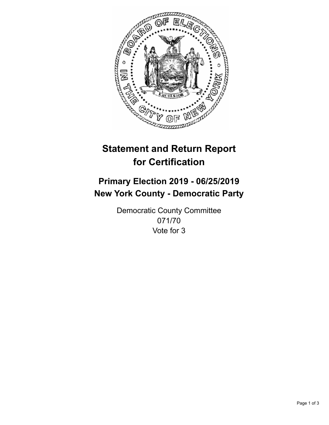

## **Statement and Return Report for Certification**

## **Primary Election 2019 - 06/25/2019 New York County - Democratic Party**

Democratic County Committee 071/70 Vote for 3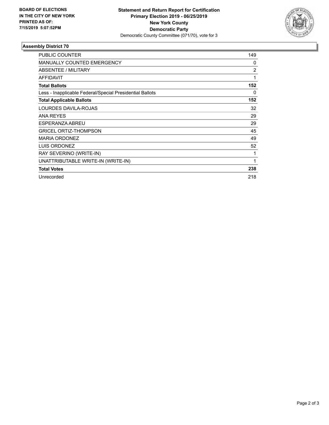

## **Assembly District 70**

| <b>PUBLIC COUNTER</b>                                    | 149 |
|----------------------------------------------------------|-----|
| <b>MANUALLY COUNTED EMERGENCY</b>                        | 0   |
| ABSENTEE / MILITARY                                      | 2   |
| <b>AFFIDAVIT</b>                                         | 1   |
| <b>Total Ballots</b>                                     | 152 |
| Less - Inapplicable Federal/Special Presidential Ballots | 0   |
| <b>Total Applicable Ballots</b>                          | 152 |
| LOURDES DAVILA-ROJAS                                     | 32  |
| <b>ANA REYES</b>                                         | 29  |
| ESPERANZA ABREU                                          | 29  |
| <b>GRICEL ORTIZ-THOMPSON</b>                             | 45  |
| <b>MARIA ORDONEZ</b>                                     | 49  |
| LUIS ORDONEZ                                             | 52  |
| RAY SEVERINO (WRITE-IN)                                  | 1   |
| UNATTRIBUTABLE WRITE-IN (WRITE-IN)                       | 1   |
| <b>Total Votes</b>                                       | 238 |
| Unrecorded                                               | 218 |